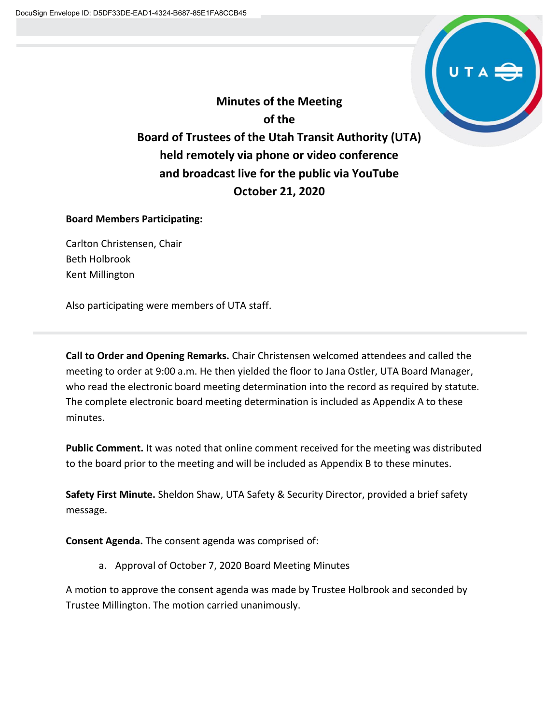

**Minutes of the Meeting of the Board of Trustees of the Utah Transit Authority (UTA) held remotely via phone or video conference and broadcast live for the public via YouTube October 21, 2020**

#### **Board Members Participating:**

Carlton Christensen, Chair Beth Holbrook Kent Millington

Also participating were members of UTA staff.

**Call to Order and Opening Remarks.** Chair Christensen welcomed attendees and called the meeting to order at 9:00 a.m. He then yielded the floor to Jana Ostler, UTA Board Manager, who read the electronic board meeting determination into the record as required by statute. The complete electronic board meeting determination is included as Appendix A to these minutes.

**Public Comment.** It was noted that online comment received for the meeting was distributed to the board prior to the meeting and will be included as Appendix B to these minutes.

**Safety First Minute.** Sheldon Shaw, UTA Safety & Security Director, provided a brief safety message.

**Consent Agenda.** The consent agenda was comprised of:

a. Approval of October 7, 2020 Board Meeting Minutes

A motion to approve the consent agenda was made by Trustee Holbrook and seconded by Trustee Millington. The motion carried unanimously.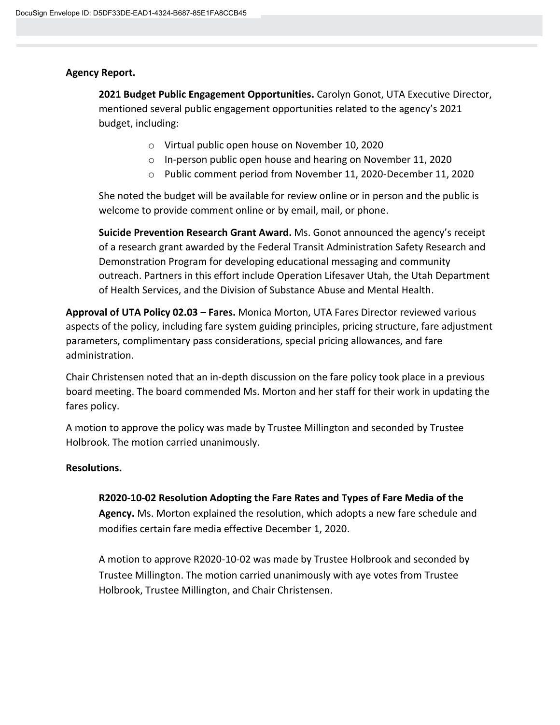### **Agency Report.**

**2021 Budget Public Engagement Opportunities.** Carolyn Gonot, UTA Executive Director, mentioned several public engagement opportunities related to the agency's 2021 budget, including:

- o Virtual public open house on November 10, 2020
- o In-person public open house and hearing on November 11, 2020
- o Public comment period from November 11, 2020-December 11, 2020

She noted the budget will be available for review online or in person and the public is welcome to provide comment online or by email, mail, or phone.

**Suicide Prevention Research Grant Award.** Ms. Gonot announced the agency's receipt of a research grant awarded by the Federal Transit Administration Safety Research and Demonstration Program for developing educational messaging and community outreach. Partners in this effort include Operation Lifesaver Utah, the Utah Department of Health Services, and the Division of Substance Abuse and Mental Health.

**Approval of UTA Policy 02.03 – Fares.** Monica Morton, UTA Fares Director reviewed various aspects of the policy, including fare system guiding principles, pricing structure, fare adjustment parameters, complimentary pass considerations, special pricing allowances, and fare administration.

Chair Christensen noted that an in-depth discussion on the fare policy took place in a previous board meeting. The board commended Ms. Morton and her staff for their work in updating the fares policy.

A motion to approve the policy was made by Trustee Millington and seconded by Trustee Holbrook. The motion carried unanimously.

#### **Resolutions.**

#### **R2020-10-02 Resolution Adopting the Fare Rates and Types of Fare Media of the**

**Agency.** Ms. Morton explained the resolution, which adopts a new fare schedule and modifies certain fare media effective December 1, 2020.

A motion to approve R2020-10-02 was made by Trustee Holbrook and seconded by Trustee Millington. The motion carried unanimously with aye votes from Trustee Holbrook, Trustee Millington, and Chair Christensen.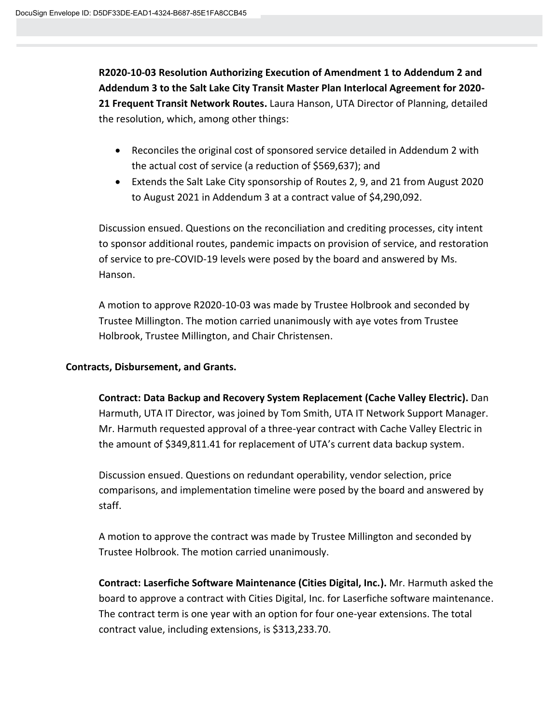**R2020-10-03 Resolution Authorizing Execution of Amendment 1 to Addendum 2 and Addendum 3 to the Salt Lake City Transit Master Plan Interlocal Agreement for 2020- 21 Frequent Transit Network Routes.** Laura Hanson, UTA Director of Planning, detailed the resolution, which, among other things:

- Reconciles the original cost of sponsored service detailed in Addendum 2 with the actual cost of service (a reduction of \$569,637); and
- Extends the Salt Lake City sponsorship of Routes 2, 9, and 21 from August 2020 to August 2021 in Addendum 3 at a contract value of \$4,290,092.

Discussion ensued. Questions on the reconciliation and crediting processes, city intent to sponsor additional routes, pandemic impacts on provision of service, and restoration of service to pre-COVID-19 levels were posed by the board and answered by Ms. Hanson.

A motion to approve R2020-10-03 was made by Trustee Holbrook and seconded by Trustee Millington. The motion carried unanimously with aye votes from Trustee Holbrook, Trustee Millington, and Chair Christensen.

### **Contracts, Disbursement, and Grants.**

**Contract: Data Backup and Recovery System Replacement (Cache Valley Electric).** Dan Harmuth, UTA IT Director, was joined by Tom Smith, UTA IT Network Support Manager. Mr. Harmuth requested approval of a three-year contract with Cache Valley Electric in the amount of \$349,811.41 for replacement of UTA's current data backup system.

Discussion ensued. Questions on redundant operability, vendor selection, price comparisons, and implementation timeline were posed by the board and answered by staff.

A motion to approve the contract was made by Trustee Millington and seconded by Trustee Holbrook. The motion carried unanimously.

**Contract: Laserfiche Software Maintenance (Cities Digital, Inc.).** Mr. Harmuth asked the board to approve a contract with Cities Digital, Inc. for Laserfiche software maintenance. The contract term is one year with an option for four one-year extensions. The total contract value, including extensions, is \$313,233.70.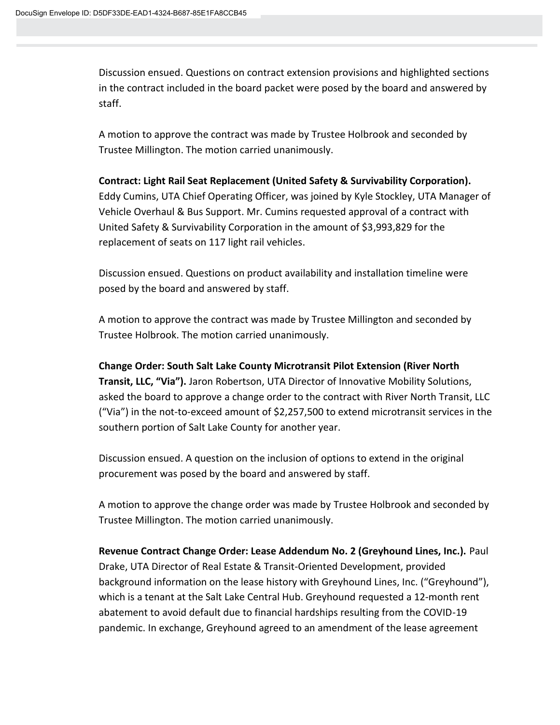Discussion ensued. Questions on contract extension provisions and highlighted sections in the contract included in the board packet were posed by the board and answered by staff.

A motion to approve the contract was made by Trustee Holbrook and seconded by Trustee Millington. The motion carried unanimously.

## **Contract: Light Rail Seat Replacement (United Safety & Survivability Corporation).**  Eddy Cumins, UTA Chief Operating Officer, was joined by Kyle Stockley, UTA Manager of Vehicle Overhaul & Bus Support. Mr. Cumins requested approval of a contract with United Safety & Survivability Corporation in the amount of \$3,993,829 for the replacement of seats on 117 light rail vehicles.

Discussion ensued. Questions on product availability and installation timeline were posed by the board and answered by staff.

A motion to approve the contract was made by Trustee Millington and seconded by Trustee Holbrook. The motion carried unanimously.

**Change Order: South Salt Lake County Microtransit Pilot Extension (River North Transit, LLC, "Via").** Jaron Robertson, UTA Director of Innovative Mobility Solutions, asked the board to approve a change order to the contract with River North Transit, LLC ("Via") in the not-to-exceed amount of \$2,257,500 to extend microtransit services in the southern portion of Salt Lake County for another year.

Discussion ensued. A question on the inclusion of options to extend in the original procurement was posed by the board and answered by staff.

A motion to approve the change order was made by Trustee Holbrook and seconded by Trustee Millington. The motion carried unanimously.

**Revenue Contract Change Order: Lease Addendum No. 2 (Greyhound Lines, Inc.).** Paul Drake, UTA Director of Real Estate & Transit-Oriented Development, provided background information on the lease history with Greyhound Lines, Inc. ("Greyhound"), which is a tenant at the Salt Lake Central Hub. Greyhound requested a 12-month rent abatement to avoid default due to financial hardships resulting from the COVID-19 pandemic. In exchange, Greyhound agreed to an amendment of the lease agreement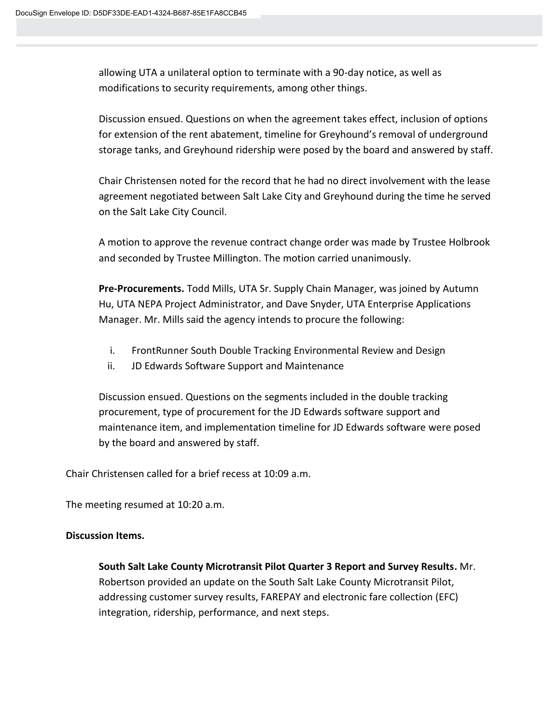allowing UTA a unilateral option to terminate with a 90-day notice, as well as modifications to security requirements, among other things.

Discussion ensued. Questions on when the agreement takes effect, inclusion of options for extension of the rent abatement, timeline for Greyhound's removal of underground storage tanks, and Greyhound ridership were posed by the board and answered by staff.

Chair Christensen noted for the record that he had no direct involvement with the lease agreement negotiated between Salt Lake City and Greyhound during the time he served on the Salt Lake City Council.

A motion to approve the revenue contract change order was made by Trustee Holbrook and seconded by Trustee Millington. The motion carried unanimously.

**Pre-Procurements.** Todd Mills, UTA Sr. Supply Chain Manager, was joined by Autumn Hu, UTA NEPA Project Administrator, and Dave Snyder, UTA Enterprise Applications Manager. Mr. Mills said the agency intends to procure the following:

- i. FrontRunner South Double Tracking Environmental Review and Design
- ii. JD Edwards Software Support and Maintenance

Discussion ensued. Questions on the segments included in the double tracking procurement, type of procurement for the JD Edwards software support and maintenance item, and implementation timeline for JD Edwards software were posed by the board and answered by staff.

Chair Christensen called for a brief recess at 10:09 a.m.

The meeting resumed at 10:20 a.m.

#### **Discussion Items.**

**South Salt Lake County Microtransit Pilot Quarter 3 Report and Survey Results.** Mr. Robertson provided an update on the South Salt Lake County Microtransit Pilot, addressing customer survey results, FAREPAY and electronic fare collection (EFC) integration, ridership, performance, and next steps.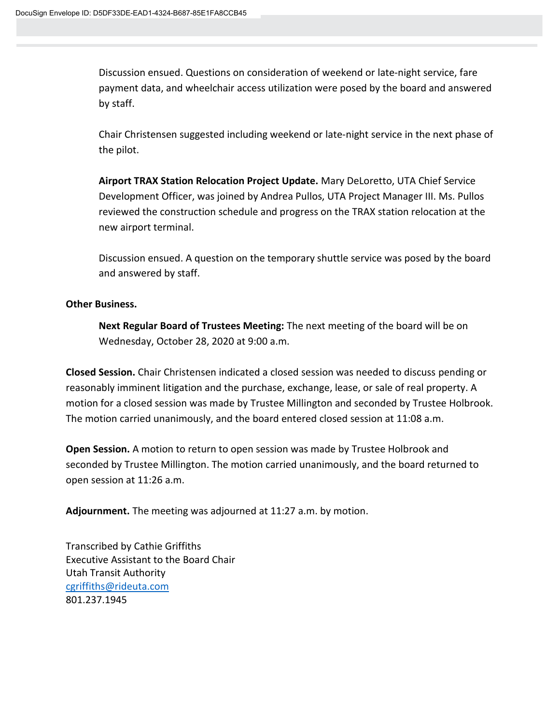Discussion ensued. Questions on consideration of weekend or late-night service, fare payment data, and wheelchair access utilization were posed by the board and answered by staff.

Chair Christensen suggested including weekend or late-night service in the next phase of the pilot.

**Airport TRAX Station Relocation Project Update.** Mary DeLoretto, UTA Chief Service Development Officer, was joined by Andrea Pullos, UTA Project Manager III. Ms. Pullos reviewed the construction schedule and progress on the TRAX station relocation at the new airport terminal.

Discussion ensued. A question on the temporary shuttle service was posed by the board and answered by staff.

#### **Other Business.**

**Next Regular Board of Trustees Meeting:** The next meeting of the board will be on Wednesday, October 28, 2020 at 9:00 a.m.

**Closed Session.** Chair Christensen indicated a closed session was needed to discuss pending or reasonably imminent litigation and the purchase, exchange, lease, or sale of real property. A motion for a closed session was made by Trustee Millington and seconded by Trustee Holbrook. The motion carried unanimously, and the board entered closed session at 11:08 a.m.

**Open Session.** A motion to return to open session was made by Trustee Holbrook and seconded by Trustee Millington. The motion carried unanimously, and the board returned to open session at 11:26 a.m.

**Adjournment.** The meeting was adjourned at 11:27 a.m. by motion.

Transcribed by Cathie Griffiths Executive Assistant to the Board Chair Utah Transit Authority [cgriffiths@rideuta.com](mailto:cgriffiths@rideuta.com) 801.237.1945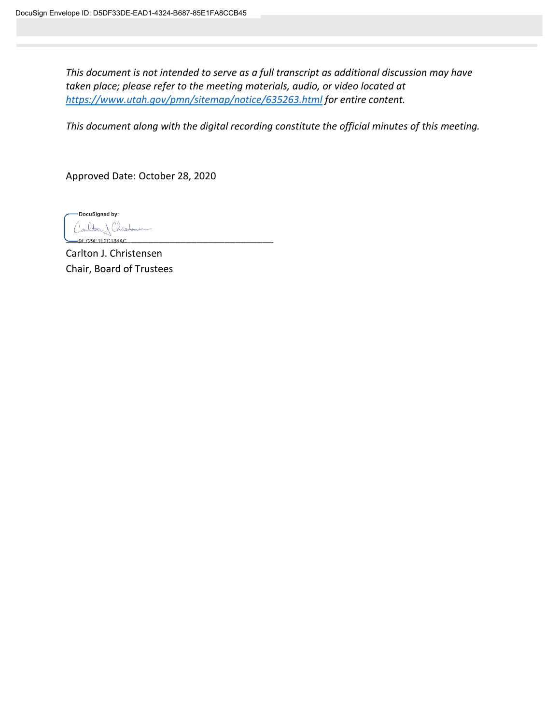*This document is not intended to serve as a full transcript as additional discussion may have taken place; please refer to the meeting materials, audio, or video located at <https://www.utah.gov/pmn/sitemap/notice/635263.html> for entire content.*

*This document along with the digital recording constitute the official minutes of this meeting.*

Approved Date: October 28, 2020

DocuSigned by: Carlton) Christonien .<br>9F729F1F2C184A0

Carlton J. Christensen Chair, Board of Trustees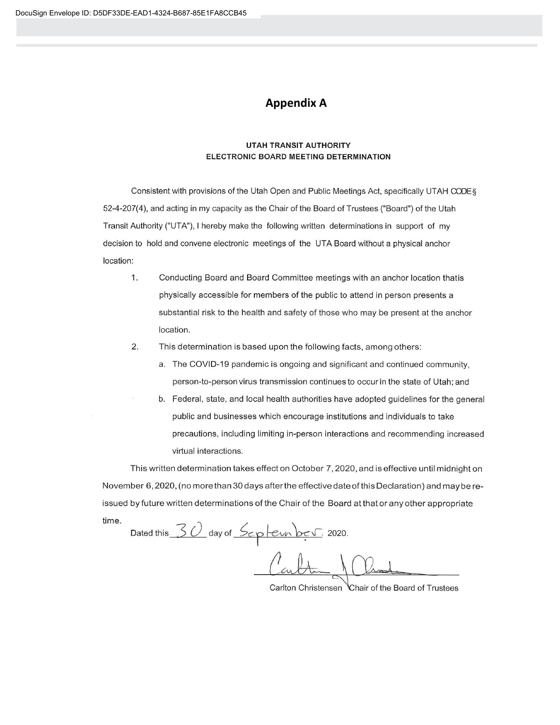#### **Appendix A**

#### **UTAH TRANSIT AUTHORITY** ELECTRONIC BOARD MEETING DETERMINATION

Consistent with provisions of the Utah Open and Public Meetings Act, specifically UTAH CODE § 52-4-207(4), and acting in my capacity as the Chair of the Board of Trustees ("Board") of the Utah Transit Authority ("UTA"), I hereby make the following written determinations in support of my decision to hold and convene electronic meetings of the UTA Board without a physical anchor location:

- 1. Conducting Board and Board Committee meetings with an anchor location thatis physically accessible for members of the public to attend in person presents a substantial risk to the health and safety of those who may be present at the anchor location.
- $2.$ This determination is based upon the following facts, among others:
	- a. The COVID-19 pandemic is ongoing and significant and continued community, person-to-person virus transmission continues to occur in the state of Utah; and
	- b. Federal, state, and local health authorities have adopted guidelines for the general public and businesses which encourage institutions and individuals to take precautions, including limiting in-person interactions and recommending increased virtual interactions.

This written determination takes effect on October 7, 2020, and is effective until midnight on November 6, 2020, (no more than 30 days after the effective date of this Declaration) and may be reissued by future written determinations of the Chair of the Board at that or any other appropriate time.

Dated this 30 day of September 2020.

Carlton Christensen Chair of the Board of Trustees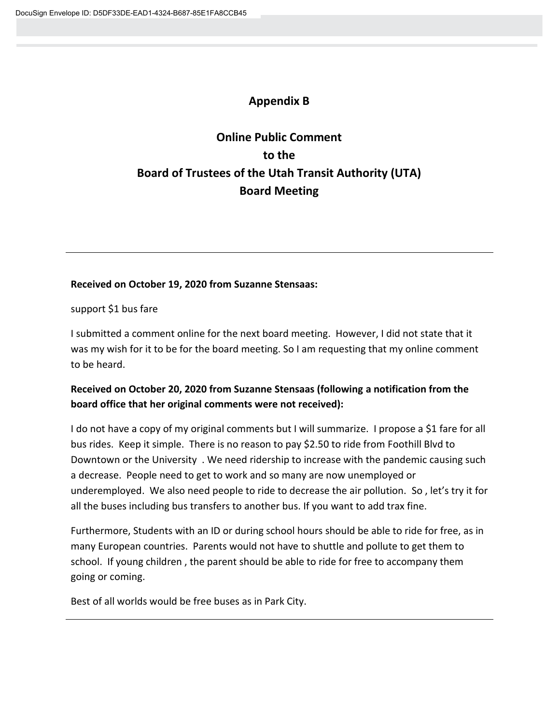## **Appendix B**

# **Online Public Comment to the Board of Trustees of the Utah Transit Authority (UTA) Board Meeting**

#### **Received on October 19, 2020 from Suzanne Stensaas:**

support \$1 bus fare

I submitted a comment online for the next board meeting. However, I did not state that it was my wish for it to be for the board meeting. So I am requesting that my online comment to be heard.

## **Received on October 20, 2020 from Suzanne Stensaas (following a notification from the board office that her original comments were not received):**

I do not have a copy of my original comments but I will summarize. I propose a \$1 fare for all bus rides. Keep it simple. There is no reason to pay \$2.50 to ride from Foothill Blvd to Downtown or the University . We need ridership to increase with the pandemic causing such a decrease. People need to get to work and so many are now unemployed or underemployed. We also need people to ride to decrease the air pollution. So , let's try it for all the buses including bus transfers to another bus. If you want to add trax fine.

Furthermore, Students with an ID or during school hours should be able to ride for free, as in many European countries. Parents would not have to shuttle and pollute to get them to school. If young children , the parent should be able to ride for free to accompany them going or coming.

Best of all worlds would be free buses as in Park City.